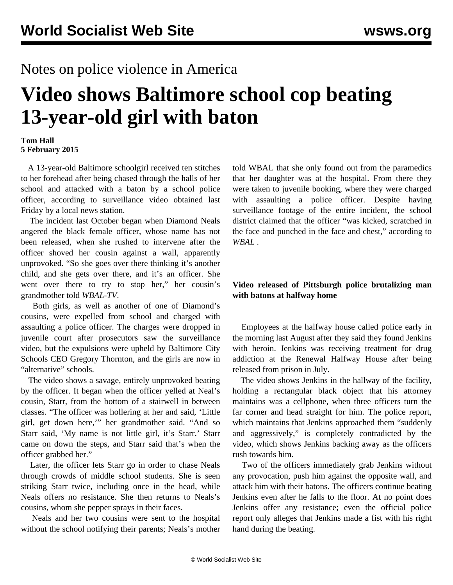## Notes on police violence in America

# **Video shows Baltimore school cop beating 13-year-old girl with baton**

#### **Tom Hall 5 February 2015**

 A 13-year-old Baltimore schoolgirl received ten stitches to her forehead after being chased through the halls of her school and attacked with a baton by a school police officer, according to [surveillance video](http://www.wbaltv.com/news/girls-injured-suspended-after-fight-with-school-officer/31004666) obtained last Friday by a local news station.

 The incident last October began when Diamond Neals angered the black female officer, whose name has not been released, when she rushed to intervene after the officer shoved her cousin against a wall, apparently unprovoked. "So she goes over there thinking it's another child, and she gets over there, and it's an officer. She went over there to try to stop her," her cousin's grandmother told *WBAL-TV*.

 Both girls, as well as another of one of Diamond's cousins, were expelled from school and charged with assaulting a police officer. The charges were dropped in juvenile court after prosecutors saw the surveillance video, but the expulsions were upheld by Baltimore City Schools CEO Gregory Thornton, and the girls are now in "alternative" schools.

 The video shows a savage, entirely unprovoked beating by the officer. It began when the officer yelled at Neal's cousin, Starr, from the bottom of a stairwell in between classes. "The officer was hollering at her and said, 'Little girl, get down here,'" her grandmother said. "And so Starr said, 'My name is not little girl, it's Starr.' Starr came on down the steps, and Starr said that's when the officer grabbed her."

 Later, the officer lets Starr go in order to chase Neals through crowds of middle school students. She is seen striking Starr twice, including once in the head, while Neals offers no resistance. She then returns to Neals's cousins, whom she pepper sprays in their faces.

 Neals and her two cousins were sent to the hospital without the school notifying their parents; Neals's mother told WBAL that she only found out from the paramedics that her daughter was at the hospital. From there they were taken to juvenile booking, where they were charged with assaulting a police officer. Despite having surveillance footage of the entire incident, the school district claimed that the officer "was kicked, scratched in the face and punched in the face and chest," according to *WBAL* .

### **Video released of Pittsburgh police brutalizing man with batons at halfway home**

 Employees at the halfway house called police early in the morning last August after they said they found Jenkins with heroin. Jenkins was receiving treatment for drug addiction at the Renewal Halfway House after being released from prison in July.

 The video shows Jenkins in the hallway of the facility, holding a rectangular black object that his attorney maintains was a cellphone, when three officers turn the far corner and head straight for him. The police report, which maintains that Jenkins approached them "suddenly and aggressively," is completely contradicted by the video, which shows Jenkins backing away as the officers rush towards him.

 Two of the officers immediately grab Jenkins without any provocation, push him against the opposite wall, and attack him with their batons. The officers continue beating Jenkins even after he falls to the floor. At no point does Jenkins offer any resistance; even the official police report only alleges that Jenkins made a fist with his right hand during the beating.